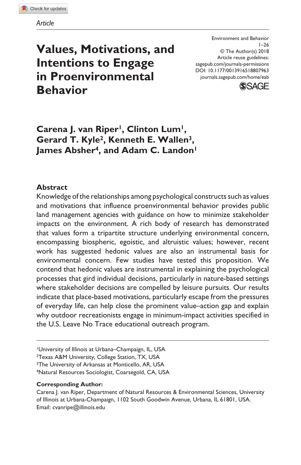**Values, Motivations, and Intentions to Engage in Proenvironmental Behavior**

DOI: 10.1177/0013916518807963 Environment and Behavior  $1 - 26$ © The Author(s) 2018 Article reuse guidelines: [sagepub.com/journals-permissions](https://us.sagepub.com/en-us/journals-permissions) [journals.sagepub.com/home/eab](https://journals.sagepub.com/home/eab)



# Carena J. van Riper<sup>1</sup>, Clinton Lum<sup>1</sup>, **Gerard T. Kyle2, Kenneth E. Wallen3,**  James Absher<sup>4</sup>, and Adam C. Landon<sup>1</sup>

### **Abstract**

Knowledge of the relationships among psychological constructs such as values and motivations that influence proenvironmental behavior provides public land management agencies with guidance on how to minimize stakeholder impacts on the environment. A rich body of research has demonstrated that values form a tripartite structure underlying environmental concern, encompassing biospheric, egoistic, and altruistic values; however, recent work has suggested hedonic values are also an instrumental basis for environmental concern. Few studies have tested this proposition. We contend that hedonic values are instrumental in explaining the psychological processes that gird individual decisions, particularly in nature-based settings where stakeholder decisions are compelled by leisure pursuits. Our results indicate that place-based motivations, particularly escape from the pressures of everyday life, can help close the prominent value–action gap and explain why outdoor recreationists engage in minimum-impact activities specified in the U.S. Leave No Trace educational outreach program.

#### **Corresponding Author:**

<sup>1</sup>University of Illinois at Urbana–Champaign, IL, USA

<sup>2</sup>Texas A&M University, College Station, TX, USA

<sup>&</sup>lt;sup>3</sup>The University of Arkansas at Monticello, AR, USA

<sup>4</sup>Natural Resources Sociologist, Coarsegold, CA, USA

Carena J. van Riper, Department of Natural Resources & Environmental Sciences, University of Illinois at Urbana-Champaign, 1102 South Goodwin Avenue, Urbana, IL 61801, USA. Email: [cvanripe@illinois.edu](mailto:cvanripe@illinois.edu)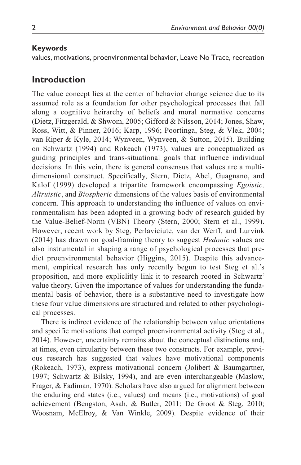#### **Keywords**

values, motivations, proenvironmental behavior, Leave No Trace, recreation

# **Introduction**

The value concept lies at the center of behavior change science due to its assumed role as a foundation for other psychological processes that fall along a cognitive heirarchy of beliefs and moral normative concerns (Dietz, Fitzgerald, & Shwom, 2005; Gifford & Nilsson, 2014; Jones, Shaw, Ross, Witt, & Pinner, 2016; Karp, 1996; Poortinga, Steg, & Vlek, 2004; van Riper & Kyle, 2014; Wynveen, Wynveen, & Sutton, 2015). Building on Schwartz (1994) and Rokeach (1973), values are conceptualized as guiding principles and trans-situational goals that influence individual decisions. In this vein, there is general consensus that values are a multidimensional construct. Specifically, Stern, Dietz, Abel, Guagnano, and Kalof (1999) developed a tripartite framework encompassing *Egoistic, Altruistic*, and *Biospheric* dimensions of the values basis of environmental concern. This approach to understanding the influence of values on environmentalism has been adopted in a growing body of research guided by the Value-Belief-Norm (VBN) Theory (Stern, 2000; Stern et al., 1999). However, recent work by Steg, Perlaviciute, van der Werff, and Lurvink (2014) has drawn on goal-framing theory to suggest *Hedonic* values are also instrumental in shaping a range of psychological processes that predict proenvironmental behavior (Higgins, 2015). Despite this advancement, empirical research has only recently begun to test Steg et al.'s proposition, and more expliclitly link it to research rooted in Schwartz' value theory. Given the importance of values for understanding the fundamental basis of behavior, there is a substantive need to investigate how these four value dimensions are structured and related to other psychological processes.

There is indirect evidence of the relationship between value orientations and specific motivations that compel proenvironmental activity (Steg et al., 2014). However, uncertainty remains about the conceptual distinctions and, at times, even circularity between these two constructs. For example, previous research has suggested that values have motivational components (Rokeach, 1973), express motivational concern (Jolibert & Baumgartner, 1997; Schwartz & Bilsky, 1994), and are even interchangeable (Maslow, Frager, & Fadiman, 1970). Scholars have also argued for alignment between the enduring end states (i.e., values) and means (i.e., motivations) of goal achievement (Bengston, Asah, & Butler, 2011; De Groot & Steg, 2010; Woosnam, McElroy, & Van Winkle, 2009). Despite evidence of their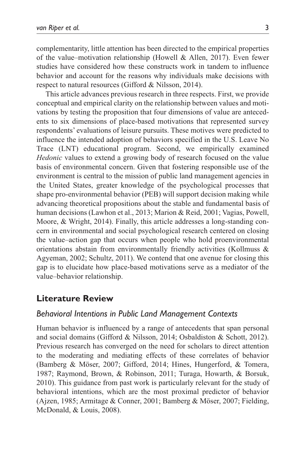complementarity, little attention has been directed to the empirical properties of the value–motivation relationship (Howell & Allen, 2017). Even fewer studies have considered how these constructs work in tandem to influence behavior and account for the reasons why individuals make decisions with respect to natural resources (Gifford & Nilsson, 2014).

This article advances previous research in three respects. First, we provide conceptual and empirical clarity on the relationship between values and motivations by testing the proposition that four dimensions of value are antecedents to six dimensions of place-based motivations that represented survey respondents' evaluations of leisure pursuits. These motives were predicted to influence the intended adoption of behaviors specified in the U.S. Leave No Trace (LNT) educational program. Second, we empirically examined *Hedonic* values to extend a growing body of research focused on the value basis of environmental concern. Given that fostering responsible use of the environment is central to the mission of public land management agencies in the United States, greater knowledge of the psychological processes that shape pro-environmental behavior (PEB) will support decision making while advancing theoretical propositions about the stable and fundamental basis of human decisions (Lawhon et al., 2013; Marion & Reid, 2001; Vagias, Powell, Moore, & Wright, 2014). Finally, this article addresses a long-standing concern in environmental and social psychological research centered on closing the value–action gap that occurs when people who hold proenvironmental orientations abstain from environmentally friendly activities (Kollmuss & Agyeman, 2002; Schultz, 2011). We contend that one avenue for closing this gap is to elucidate how place-based motivations serve as a mediator of the value–behavior relationship.

## **Literature Review**

### *Behavioral Intentions in Public Land Management Contexts*

Human behavior is influenced by a range of antecedents that span personal and social domains (Gifford & Nilsson, 2014; Osbaldiston & Schott, 2012). Previous research has converged on the need for scholars to direct attention to the moderating and mediating effects of these correlates of behavior (Bamberg & Möser, 2007; Gifford, 2014; Hines, Hungerford, & Tomera, 1987; Raymond, Brown, & Robinson, 2011; Turaga, Howarth, & Borsuk, 2010). This guidance from past work is particularly relevant for the study of behavioral intentions, which are the most proximal predictor of behavior (Ajzen, 1985; Armitage & Conner, 2001; Bamberg & Möser, 2007; Fielding, McDonald, & Louis, 2008).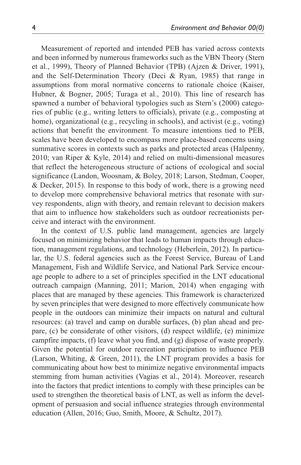Measurement of reported and intended PEB has varied across contexts and been informed by numerous frameworks such as the VBN Theory (Stern et al., 1999), Theory of Planned Behavior (TPB) (Ajzen & Driver, 1991), and the Self-Determination Theory (Deci & Ryan, 1985) that range in assumptions from moral normative concerns to rationale choice (Kaiser, Hubner, & Bogner, 2005; Turaga et al., 2010). This line of research has spawned a number of behavioral typologies such as Stern's (2000) categories of public (e.g., writing letters to officials), private (e.g., composting at home), organizational (e.g., recycling in schools), and activist (e.g., voting) actions that benefit the environment. To measure intentions tied to PEB, scales have been developed to encompass more place-based concerns using summative scores in contexts such as parks and protected areas (Halpenny, 2010; van Riper & Kyle, 2014) and relied on multi-dimensional measures that reflect the heterogeneous structure of actions of ecological and social significance (Landon, Woosnam, & Boley, 2018; Larson, Stedman, Cooper, & Decker, 2015). In response to this body of work, there is a growing need to develop more comprehensive behavioral metrics that resonate with survey respondents, align with theory, and remain relevant to decision makers that aim to influence how stakeholders such as outdoor recreationists perceive and interact with the environment.

In the context of U.S. public land management, agencies are largely focused on minimizing behavior that leads to human impacts through education, management regulations, and technology (Heberlein, 2012). In particular, the U.S. federal agencies such as the Forest Service, Bureau of Land Management, Fish and Wildlife Service, and National Park Service encourage people to adhere to a set of principles specified in the LNT educational outreach campaign (Manning, 2011; Marion, 2014) when engaging with places that are managed by these agencies. This framework is characterized by seven principles that were designed to more effectively communicate how people in the outdoors can minimize their impacts on natural and cultural resources: (a) travel and camp on durable surfaces, (b) plan ahead and prepare, (c) be considerate of other visitors, (d) respect wildlife, (e) minimize campfire impacts, (f) leave what you find, and (g) dispose of waste properly. Given the potential for outdoor recreation participation to influence PEB (Larson, Whiting, & Green, 2011), the LNT program provides a basis for communicating about how best to minimize negative environmental impacts stemming from human activities (Vagias et al., 2014). Moreover, research into the factors that predict intentions to comply with these principles can be used to strengthen the theoretical basis of LNT, as well as inform the development of persuasion and social influence strategies through environmental education (Allen, 2016; Guo, Smith, Moore, & Schultz, 2017).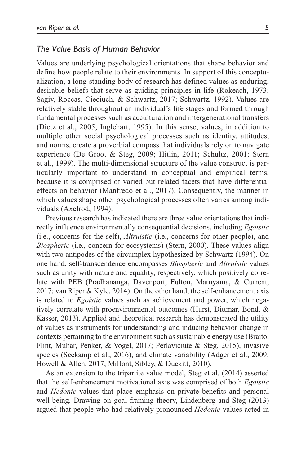### *The Value Basis of Human Behavior*

Values are underlying psychological orientations that shape behavior and define how people relate to their environments. In support of this conceptualization, a long-standing body of research has defined values as enduring, desirable beliefs that serve as guiding principles in life (Rokeach, 1973; Sagiv, Roccas, Cieciuch, & Schwartz, 2017; Schwartz, 1992). Values are relatively stable throughout an individual's life stages and formed through fundamental processes such as acculturation and intergenerational transfers (Dietz et al., 2005; Inglehart, 1995). In this sense, values, in addition to multiple other social psychological processes such as identity, attitudes, and norms, create a proverbial compass that individuals rely on to navigate experience (De Groot & Steg, 2009; Hitlin, 2011; Schultz, 2001; Stern et al., 1999). The multi-dimensional structure of the value construct is particularly important to understand in conceptual and empirical terms, because it is comprised of varied but related facets that have differential effects on behavior (Manfredo et al., 2017). Consequently, the manner in which values shape other psychological processes often varies among individuals (Axelrod, 1994).

Previous research has indicated there are three value orientations that indirectly influence environmentally consequential decisions, including *Egoistic* (i.e., concerns for the self), *Altruistic* (i.e., concerns for other people), and *Biospheric* (i.e., concern for ecosystems) (Stern, 2000). These values align with two antipodes of the circumplex hypothesized by Schwartz (1994). On one hand, self-transcendence encompasses *Biospheric* and *Altruistic* values such as unity with nature and equality, respectively, which positively correlate with PEB (Pradhananga, Davenport, Fulton, Maruyama, & Current, 2017; van Riper & Kyle, 2014). On the other hand, the self-enhancement axis is related to *Egoistic* values such as achievement and power, which negatively correlate with proenvironmental outcomes (Hurst, Dittmar, Bond, & Kasser, 2013). Applied and theoretical research has demonstrated the utility of values as instruments for understanding and inducing behavior change in contexts pertaining to the environment such as sustainable energy use (Braito, Flint, Muhar, Penker, & Vogel, 2017; Perlaviciute & Steg, 2015), invasive species (Seekamp et al., 2016), and climate variability (Adger et al., 2009; Howell & Allen, 2017; Milfont, Sibley, & Duckitt, 2010).

As an extension to the tripartite value model, Steg et al. (2014) asserted that the self-enhancement motivational axis was comprised of both *Egoistic* and *Hedonic* values that place emphasis on private benefits and personal well-being. Drawing on goal-framing theory, Lindenberg and Steg (2013) argued that people who had relatively pronounced *Hedonic* values acted in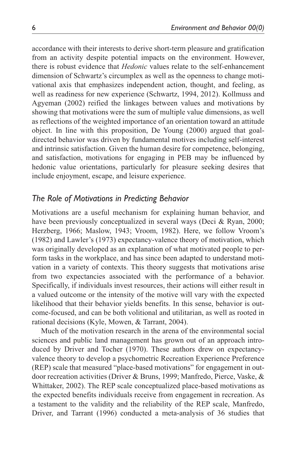accordance with their interests to derive short-term pleasure and gratification from an activity despite potential impacts on the environment. However, there is robust evidence that *Hedonic* values relate to the self-enhancement dimension of Schwartz's circumplex as well as the openness to change motivational axis that emphasizes independent action, thought, and feeling, as well as readiness for new experience (Schwartz, 1994, 2012). Kollmuss and Agyeman (2002) reified the linkages between values and motivations by showing that motivations were the sum of multiple value dimensions, as well as reflections of the weighted importance of an orientation toward an attitude object. In line with this proposition, De Young (2000) argued that goaldirected behavior was driven by fundamental motives including self-interest and intrinsic satisfaction. Given the human desire for competence, belonging, and satisfaction, motivations for engaging in PEB may be influenced by hedonic value orientations, particularly for pleasure seeking desires that include enjoyment, escape, and leisure experience.

## *The Role of Motivations in Predicting Behavior*

Motivations are a useful mechanism for explaining human behavior, and have been previously conceptualized in several ways (Deci & Ryan, 2000; Herzberg, 1966; Maslow, 1943; Vroom, 1982). Here, we follow Vroom's (1982) and Lawler's (1973) expectancy-valence theory of motivation, which was originally developed as an explanation of what motivated people to perform tasks in the workplace, and has since been adapted to understand motivation in a variety of contexts. This theory suggests that motivations arise from two expectancies associated with the performance of a behavior. Specifically, if individuals invest resources, their actions will either result in a valued outcome or the intensity of the motive will vary with the expected likelihood that their behavior yields benefits. In this sense, behavior is outcome-focused, and can be both volitional and utilitarian, as well as rooted in rational decisions (Kyle, Mowen, & Tarrant, 2004).

Much of the motivation research in the arena of the environmental social sciences and public land management has grown out of an approach introduced by Driver and Tocher (1970). These authors drew on expectancyvalence theory to develop a psychometric Recreation Experience Preference (REP) scale that measured "place-based motivations" for engagement in outdoor recreation activities (Driver & Bruns, 1999; Manfredo, Pierce, Vaske, & Whittaker, 2002). The REP scale conceptualized place-based motivations as the expected benefits individuals receive from engagement in recreation. As a testament to the validity and the reliability of the REP scale, Manfredo, Driver, and Tarrant (1996) conducted a meta-analysis of 36 studies that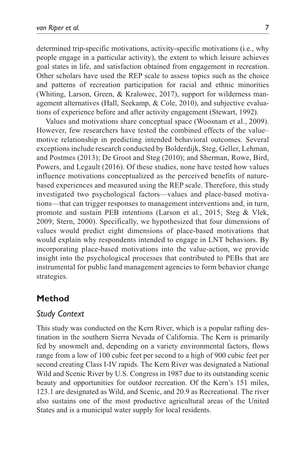determined trip-specific motivations, activity-specific motivations (i.e., why people engage in a particular activity), the extent to which leisure achieves goal states in life, and satisfaction obtained from engagement in recreation. Other scholars have used the REP scale to assess topics such as the choice and patterns of recreation participation for racial and ethnic minorities (Whiting, Larson, Green, & Kralowec, 2017), support for wilderness management alternatives (Hall, Seekamp, & Cole, 2010), and subjective evaluations of experience before and after activity engagement (Stewart, 1992).

Values and motivations share conceptual space (Woosnam et al., 2009). However, few researchers have tested the combined effects of the value– motive relationship in predicting intended behavioral outcomes. Several exceptions include research conducted by Bolderdijk, Steg, Geller, Lehman, and Postmes (2013); De Groot and Steg (2010); and Sherman, Rowe, Bird, Powers, and Legault (2016). Of these studies, none have tested how values influence motivations conceptualized as the perceived benefits of naturebased experiences and measured using the REP scale. Therefore, this study investigated two psychological factors—values and place-based motivations—that can trigger responses to management interventions and, in turn, promote and sustain PEB intentions (Larson et al., 2015; Steg & Vlek, 2009; Stern, 2000). Specifically, we hypothesized that four dimensions of values would predict eight dimensions of place-based motivations that would explain why respondents intended to engage in LNT behaviors. By incorporating place-based motivations into the value-action, we provide insight into the psychological processes that contributed to PEBs that are instrumental for public land management agencies to form behavior change strategies.

### **Method**

#### *Study Context*

This study was conducted on the Kern River, which is a popular rafting destination in the southern Sierra Nevada of California. The Kern is primarily fed by snowmelt and, depending on a variety environmental factors, flows range from a low of 100 cubic feet per second to a high of 900 cubic feet per second creating Class I-IV rapids. The Kern River was designated a National Wild and Scenic River by U.S. Congress in 1987 due to its outstanding scenic beauty and opportunities for outdoor recreation. Of the Kern's 151 miles, 123.1 are designated as Wild, and Scenic, and 20.9 as Recreational. The river also sustains one of the most productive agricultural areas of the United States and is a municipal water supply for local residents.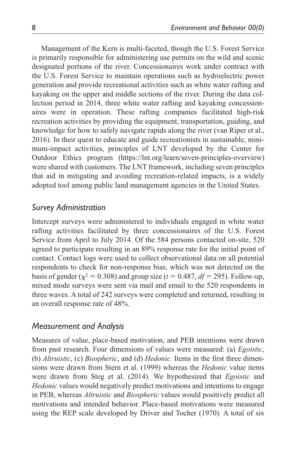Management of the Kern is multi-faceted, though the U.S. Forest Service is primarily responsible for administering use permits on the wild and scenic designated portions of the river. Concessionaires work under contract with the U.S. Forest Service to maintain operations such as hydroelectric power generation and provide recreational activities such as white water rafting and kayaking on the upper and middle sections of the river. During the data collection period in 2014, three white water rafting and kayaking concessionaires were in operation. These rafting companies facilitated high-risk recreation activities by providing the equipment, transportation, guiding, and knowledge for how to safely navigate rapids along the river (van Riper et al., 2016). In their quest to educate and guide recreationists in sustainable, minimum-impact activities, principles of LNT developed by the Center for Outdoor Ethics program [\(https://lnt.org/learn/seven-principles-overview\)](https://lnt.org/learn/seven-principles-overview) were shared with customers. The LNT framework, including seven principles that aid in mitigating and avoiding recreation-related impacts, is a widely adopted tool among public land management agencies in the United States.

# *Survey Administration*

Intercept surveys were administered to individuals engaged in white water rafting activities facilitated by three concessionaires of the U.S. Forest Service from April to July 2014. Of the 584 persons contacted on-site, 520 agreed to participate resulting in an 89% response rate for the initial point of contact. Contact logs were used to collect observational data on all potential respondents to check for non-response bias, which was not detected on the basis of gender ( $\chi^2 = 0.308$ ) and group size ( $t = 0.487$ ,  $df = 295$ ). Follow-up, mixed mode surveys were sent via mail and email to the 520 respondents in three waves. A total of 242 surveys were completed and returned, resulting in an overall response rate of 48%.

## *Measurement and Analysis*

Measures of value, place-based motivation, and PEB intentions were drawn from past research. Four dimensions of values were measured: (a) *Egoistic*, (b) *Altruistic*, (c) *Biospheric*, and (d) *Hedonic.* Items in the first three dimensions were drawn from Stern et al. (1999) whereas the *Hedonic* value items were drawn from Steg et al. (2014). We hypothesized that *Egoistic* and *Hedonic* values would negatively predict motivations and intentions to engage in PEB, whereas *Altruistic* and *Biospheric* values would positively predict all motivations and intended behavior. Place-based motivations were measured using the REP scale developed by Driver and Tocher (1970). A total of six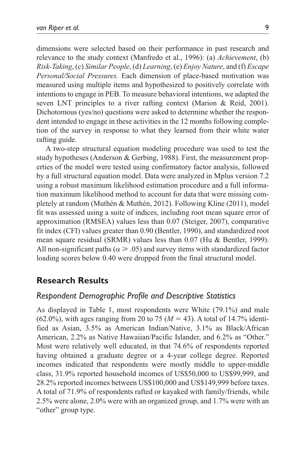dimensions were selected based on their performance in past research and relevance to the study context (Manfredo et al., 1996): (a) *Achievement*, (b) *Risk-Taking*, (c) *Similar People*, (d) *Learning*, (e) *Enjoy Nature*, and (f) *Escape Personal/Social Pressures.* Each dimension of place-based motivation was measured using multiple items and hypothesized to positively correlate with intentions to engage in PEB. To measure behavioral intentions, we adapted the seven LNT principles to a river rafting context (Marion & Reid, 2001). Dichotomous (yes/no) questions were asked to determine whether the respondent intended to engage in these activities in the 12 months following completion of the survey in response to what they learned from their white water rafting guide.

A two-step structural equation modeling procedure was used to test the study hypotheses (Anderson & Gerbing, 1988). First, the measurement properties of the model were tested using confirmatory factor analysis, followed by a full structural equation model. Data were analyzed in Mplus version 7.2 using a robust maximum likelihood estimation procedure and a full information maximum likelihood method to account for data that were missing completely at random (Muthén & Muthén, 2012). Following Kline (2011), model fit was assessed using a suite of indices, including root mean square error of approximation (RMSEA) values less than 0.07 (Steiger, 2007), comparative fit index (CFI) values greater than 0.90 (Bentler, 1990), and standardized root mean square residual (SRMR) values less than 0.07 (Hu & Bentler, 1999). All non-significant paths ( $\alpha \ge 0.05$ ) and survey items with standardized factor loading scores below 0.40 were dropped from the final structural model.

# **Research Results**

### *Respondent Demographic Profile and Descriptive Statistics*

As displayed in Table 1, most respondents were White (79.1%) and male (62.0%), with ages ranging from 20 to 75 ( $M = 43$ ). A total of 14.7% identified as Asian, 3.5% as American Indian/Native, 3.1% as Black/African American, 2.2% as Native Hawaiian/Pacific Islander, and 6.2% as "Other." Most were relatively well educated, in that 74.6% of respondents reported having obtained a graduate degree or a 4-year college degree. Reported incomes indicated that respondents were mostly middle to upper-middle class, 31.9% reported household incomes of US\$50,000 to US\$99,999, and 28.2% reported incomes between US\$100,000 and US\$149,999 before taxes. A total of 71.9% of respondents rafted or kayaked with family/friends, while 2.5% were alone, 2.0% were with an organized group, and 1.7% were with an "other" group type.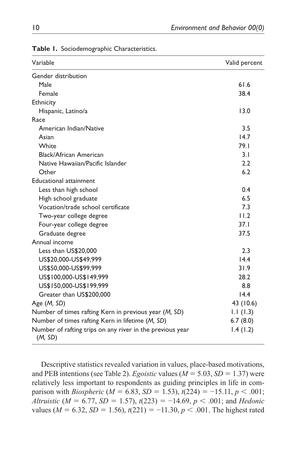| Variable                                                               | Valid percent |
|------------------------------------------------------------------------|---------------|
| Gender distribution                                                    |               |
| Male                                                                   | 61.6          |
| Female                                                                 | 38.4          |
| Ethnicity                                                              |               |
| Hispanic, Latino/a                                                     | 13.0          |
| Race                                                                   |               |
| American Indian/Native                                                 | 3.5           |
| Asian                                                                  | 14.7          |
| White                                                                  | 79.1          |
| Black/African American                                                 | 3.1           |
| Native Hawaiian/Pacific Islander                                       | 2.2           |
| Other                                                                  | 6.2           |
| <b>Educational attainment</b>                                          |               |
| Less than high school                                                  | 0.4           |
| High school graduate                                                   | 6.5           |
| Vocation/trade school certificate                                      | 7.3           |
| Two-year college degree                                                | 11.2          |
| Four-year college degree                                               | 37.1          |
| Graduate degree                                                        | 37.5          |
| Annual income                                                          |               |
| Less than US\$20,000                                                   | 2.3           |
| US\$20,000-US\$49,999                                                  | 14.4          |
| US\$50,000-US\$99,999                                                  | 31.9          |
| US\$100,000-US\$149,999                                                | 28.2          |
| US\$150,000-US\$199,999                                                | 8.8           |
| Greater than US\$200,000                                               | 14.4          |
| Age (M, SD)                                                            | 43 (10.6)     |
| Number of times rafting Kern in previous year ( <i>M</i> , <i>SD</i> ) | 1.1(1.3)      |
| Number of times rafting Kern in lifetime (M, SD)                       | 6.7(8.0)      |
| Number of rafting trips on any river in the previous year<br>(M, SD)   | 1.4(1.2)      |

**Table 1.** Sociodemographic Characteristics.

Descriptive statistics revealed variation in values, place-based motivations, and PEB intentions (see Table 2). *Egoistic* values ( $M = 5.03$ ,  $SD = 1.37$ ) were relatively less important to respondents as guiding principles in life in comparison with *Biospheric* (*M* = 6.83, *SD* = 1.53), *t*(224) = −15.11, *p* < .001; *Altruistic* (*M* = 6.77, *SD* = 1.57), *t*(223) = −14.69, *p* < .001; and *Hedonic* values ( $M = 6.32$ ,  $SD = 1.56$ ),  $t(221) = -11.30$ ,  $p < .001$ . The highest rated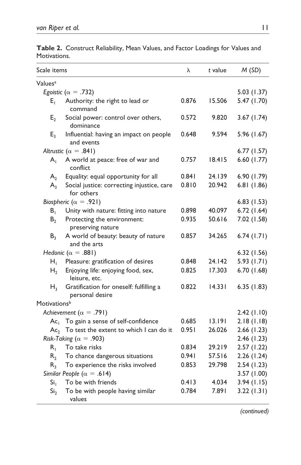|              | Table 2. Construct Reliability, Mean Values, and Factor Loadings for Values and |  |  |  |  |  |
|--------------|---------------------------------------------------------------------------------|--|--|--|--|--|
| Motivations. |                                                                                 |  |  |  |  |  |

| Scale items                        |                                                            | λ     | t value | M(SD)       |
|------------------------------------|------------------------------------------------------------|-------|---------|-------------|
| Values <sup>a</sup>                |                                                            |       |         |             |
|                                    | Egoistic ( $\alpha = .732$ )                               |       |         | 5.03(1.37)  |
| E.                                 | Authority: the right to lead or<br>command                 | 0.876 | 15.506  | 5.47(1.70)  |
| E <sub>2</sub>                     | Social power: control over others,<br>dominance            | 0.572 | 9.820   | 3.67(1.74)  |
| $E_{3}$                            | Influential: having an impact on people<br>and events      | 0.648 | 9.594   | 5.96 (1.67) |
|                                    | Altrustic ( $\alpha = .841$ )                              |       |         | 6.77(1.57)  |
| $A_{\perp}$                        | A world at peace: free of war and<br>conflict              | 0.757 | 18.415  | 6.60(1.77)  |
| $A_{2}$                            | Equality: equal opportunity for all                        | 0.841 | 24.139  | 6.90(1.79)  |
| $A_{\lambda}$                      | Social justice: correcting injustice, care<br>for others   | 0.810 | 20.942  | 6.81(1.86)  |
|                                    | Biospheric ( $\alpha = .921$ )                             |       |         | 6.83(1.53)  |
| В,                                 | Unity with nature: fitting into nature                     | 0.898 | 40.097  | 6.72(1.64)  |
| B,                                 | Protecting the environment:<br>preserving nature           | 0.935 | 50.616  | 7.02(1.58)  |
| $B_{\lambda}$                      | A world of beauty: beauty of nature<br>and the arts        | 0.857 | 34.265  | 6.74(1.71)  |
|                                    | Hedonic ( $\alpha = .881$ )                                |       |         | 6.32(1.56)  |
| Н,                                 | Pleasure: gratification of desires                         | 0.848 | 24.142  | 5.93(1.71)  |
| H <sub>2</sub>                     | Enjoying life: enjoying food, sex,<br>leisure, etc.        | 0.825 | 17.303  | 6.70(1.68)  |
| Н,                                 | Gratification for oneself: fulfilling a<br>personal desire | 0.822 | 14.331  | 6.35(1.83)  |
| Motivations <sup>b</sup>           |                                                            |       |         |             |
|                                    | Achievement ( $\alpha = .791$ )                            |       |         | 2.42(1.10)  |
|                                    | $Ac1$ To gain a sense of self-confidence                   | 0.685 | 13.191  | 2.18(1.18)  |
|                                    | $Ac2$ To test the extent to which I can do it              | 0.951 | 26.026  | 2.66(1.23)  |
| Risk-Taking ( $\alpha = .903$ )    |                                                            |       |         | 2.46(1.23)  |
| $R_{\perp}$                        | To take risks                                              | 0.834 | 29.219  | 2.57(1.22)  |
| R <sub>2</sub>                     | To chance dangerous situations                             | 0.941 | 57.516  | 2.26(1.24)  |
| R,                                 | To experience the risks involved                           | 0.853 | 29.798  | 2.54(1.23)  |
| Similar People ( $\alpha = .614$ ) |                                                            |       |         | 3.57(1.00)  |
| Si <sub>1</sub>                    | To be with friends                                         | 0.413 | 4.034   | 3.94(1.15)  |
| Si <sub>2</sub>                    | To be with people having similar<br>values                 | 0.784 | 7.891   | 3.22(1.31)  |

*(continued)*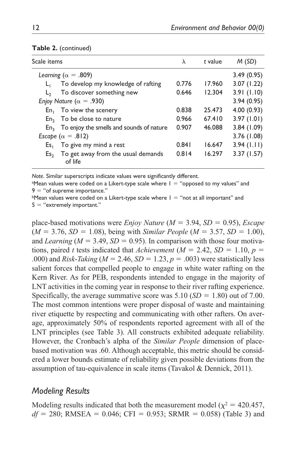| Scale items                      |                                                | λ     | t value | M(SD)      |
|----------------------------------|------------------------------------------------|-------|---------|------------|
|                                  | Learning ( $\alpha = .809$ )                   |       |         | 3.49(0.95) |
| L,                               | To develop my knowledge of rafting             | 0.776 | 17.960  | 3.07(1.22) |
| L <sub>2</sub>                   | To discover something new                      | 0.646 | 12.304  | 3.91(1.10) |
| Enjoy Nature ( $\alpha = .930$ ) |                                                |       |         | 3.94(0.95) |
|                                  | En <sub>1</sub> To view the scenery            | 0.838 | 25.473  | 4.00(0.93) |
|                                  | En <sub>2</sub> To be close to nature          | 0.966 | 67.410  | 3.97(1.01) |
|                                  | $En3$ To enjoy the smells and sounds of nature | 0.907 | 46.088  | 3.84(1.09) |
| Escape ( $\alpha = .812$ )       |                                                |       |         | 3.76(1.08) |
| Es.                              | To give my mind a rest                         | 0.841 | 16.647  | 3.94(1.11) |
| Es <sub>2</sub>                  | To get away from the usual demands<br>of life  | 0.814 | 16.297  | 3.37(1.57) |

#### **Table 2.** (continued)

*Note*. Similar superscripts indicate values were significantly different.

<sup>a</sup>Mean values were coded on a Likert-type scale where I = "opposed to my values" and  $9 =$  "of supreme importance."

 $b$ Mean values were coded on a Likert-type scale where  $1 =$  "not at all important" and  $5$  = "extremely important."

place-based motivations were *Enjoy Nature* (*M* = 3.94, *SD* = 0.95), *Escape*  $(M = 3.76, SD = 1.08)$ , being with *Similar People*  $(M = 3.57, SD = 1.00)$ , and *Learning* ( $M = 3.49$ ,  $SD = 0.95$ ). In comparison with those four motivations, paired *t* tests indicated that *Achievement* ( $M = 2.42$ ,  $SD = 1.10$ ,  $p =$ .000) and *Risk-Taking* ( $M = 2.46$ ,  $SD = 1.23$ ,  $p = .003$ ) were statistically less salient forces that compelled people to engage in white water rafting on the Kern River. As for PEB, respondents intended to engage in the majority of LNT activities in the coming year in response to their river rafting experience. Specifically, the average summative score was  $5.10$  (*SD* = 1.80) out of 7.00. The most common intentions were proper disposal of waste and maintaining river etiquette by respecting and communicating with other rafters. On average, approximately 50% of respondents reported agreement with all of the LNT principles (see Table 3). All constructs exhibited adequate reliability. However, the Cronbach's alpha of the *Similar People* dimension of placebased motivation was .60. Although acceptable, this metric should be considered a lower bounds estimate of reliability given possible deviations from the assumption of tau-equivalence in scale items (Tavakol & Dennick, 2011).

# *Modeling Results*

Modeling results indicated that both the measurement model ( $\chi^2 = 420.457$ ,  $df = 280$ ; RMSEA = 0.046; CFI = 0.953; SRMR = 0.058) (Table 3) and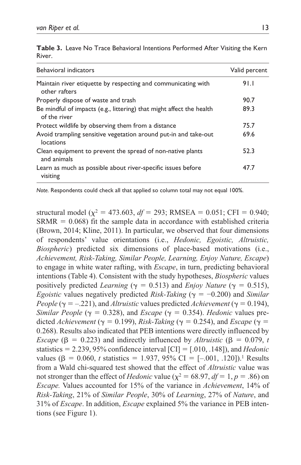| <b>Behavioral indicators</b>                                                         | Valid percent |
|--------------------------------------------------------------------------------------|---------------|
| Maintain river etiquette by respecting and communicating with<br>other rafters       | 91.1          |
| Properly dispose of waste and trash                                                  | 90.7          |
| Be mindful of impacts (e.g., littering) that might affect the health<br>of the river | 89.3          |
| Protect wildlife by observing them from a distance                                   | 75.7          |
| Avoid trampling sensitive vegetation around put-in and take-out<br>locations         | 69.6          |
| Clean equipment to prevent the spread of non-native plants<br>and animals            | 52.3          |
| Learn as much as possible about river-specific issues before<br>visiting             | 47.7          |

**Table 3.** Leave No Trace Behavioral Intentions Performed After Visiting the Kern River.

*Note.* Respondents could check all that applied so column total may not equal 100%.

structural model ( $\chi^2 = 473.603$ ,  $df = 293$ ; RMSEA = 0.051; CFI = 0.940;  $SRMR = 0.068$ ) fit the sample data in accordance with established criteria (Brown, 2014; Kline, 2011). In particular, we observed that four dimensions of respondents' value orientations (i.e., *Hedonic, Egoistic, Altruistic, Biospheric*) predicted six dimensions of place-based motivations (i.e., *Achievement, Risk-Taking, Similar People, Learning, Enjoy Nature, Escape*) to engage in white water rafting, with *Escape*, in turn, predicting behavioral intentions (Table 4). Consistent with the study hypotheses, *Biospheric* values positively predicted *Learning* ( $\gamma = 0.513$ ) and *Enjoy Nature* ( $\gamma = 0.515$ ), *Egoistic* values negatively predicted *Risk-Taking* ( $\gamma = -0.200$ ) and *Similar People* ( $\gamma = -.221$ ), and *Altruistic* values predicted *Achievement* ( $\gamma = 0.194$ ), *Similar People* ( $\gamma = 0.328$ ), and *Escape* ( $\gamma = 0.354$ ). *Hedonic* values predicted *Achievement* ( $\gamma = 0.199$ ), *Risk-Taking* ( $\gamma = 0.254$ ), and *Escape* ( $\gamma =$ 0.268). Results also indicated that PEB intentions were directly influenced by *Escape* ( $\beta$  = 0.223) and indirectly influenced by *Altruistic* ( $\beta$  = 0.079, *t* statistics = 2.239, 95% confidence interval [CI] = [.010, .148]), and *Hedonic* values (β = 0.060, *t* statistics = 1.937, 95% CI =  $[-.001, .120]$ ).<sup>1</sup> Results from a Wald chi-squared test showed that the effect of *Altruistic* value was not stronger than the effect of *Hedonic* value ( $\chi^2 = 68.97$ ,  $df = 1$ ,  $p = .86$ ) on *Escape.* Values accounted for 15% of the variance in *Achievement*, 14% of *Risk-Taking*, 21% of *Similar People*, 30% of *Learning*, 27% of *Nature*, and 31% of *Escape*. In addition, *Escape* explained 5% the variance in PEB intentions (see Figure 1).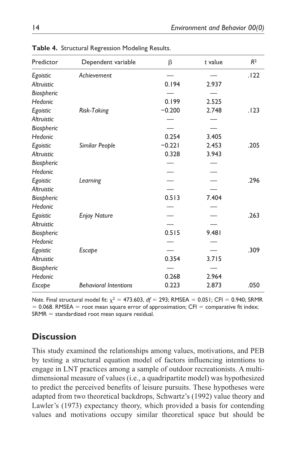| Predictor         | Dependent variable           | β        | t value | R <sup>2</sup> |
|-------------------|------------------------------|----------|---------|----------------|
| Egoistic          | Achievement                  |          |         | .122           |
| Altruistic        |                              | 0.194    | 2.937   |                |
| Biospheric        |                              |          |         |                |
| Hedonic           |                              | 0.199    | 2.525   |                |
| Egoistic          | <b>Risk-Taking</b>           | $-0.200$ | 2.748   | .123           |
| <b>Altruistic</b> |                              |          |         |                |
| Biospheric        |                              |          |         |                |
| Hedonic           |                              | 0.254    | 3.405   |                |
| Egoistic          | Similar People               | $-0.221$ | 2.453   | .205           |
| <b>Altruistic</b> |                              | 0.328    | 3.943   |                |
| Biospheric        |                              |          |         |                |
| Hedonic           |                              |          |         |                |
| Egoistic          | Learning                     |          |         | .296           |
| <b>Altruistic</b> |                              |          |         |                |
| Biospheric        |                              | 0.513    | 7.404   |                |
| Hedonic           |                              |          |         |                |
| Egoistic          | <b>Enjoy Nature</b>          |          |         | .263           |
| Altruistic        |                              |          |         |                |
| Biospheric        |                              | 0.515    | 9.481   |                |
| Hedonic           |                              |          |         |                |
| Egoistic          | Escape                       |          |         | .309           |
| Altruistic        |                              | 0.354    | 3.715   |                |
| Biospheric        |                              |          |         |                |
| Hedonic           |                              | 0.268    | 2.964   |                |
| Escape            | <b>Behavioral Intentions</b> | 0.223    | 2.873   | .050           |

**Table 4.** Structural Regression Modeling Results.

*Note*. Final structural model fit:  $\chi^2 = 473.603$ ,  $df = 293$ ; RMSEA = 0.051; CFI = 0.940; SRMR  $= 0.068$ . RMSEA = root mean square error of approximation; CFI = comparative fit index; SRMR = standardized root mean square residual.

# **Discussion**

This study examined the relationships among values, motivations, and PEB by testing a structural equation model of factors influencing intentions to engage in LNT practices among a sample of outdoor recreationists. A multidimensional measure of values (i.e., a quadripartite model) was hypothesized to predict the perceived benefits of leisure pursuits. These hypotheses were adapted from two theoretical backdrops, Schwartz's (1992) value theory and Lawler's (1973) expectancy theory, which provided a basis for contending values and motivations occupy similar theoretical space but should be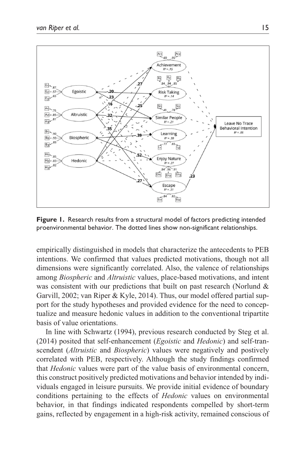

**Figure 1.** Research results from a structural model of factors predicting intended proenvironmental behavior. The dotted lines show non-significant relationships.

empirically distinguished in models that characterize the antecedents to PEB intentions. We confirmed that values predicted motivations, though not all dimensions were significantly correlated. Also, the valence of relationships among *Biospheric* and *Altruistic* values, place-based motivations, and intent was consistent with our predictions that built on past research (Norlund & Garvill, 2002; van Riper & Kyle, 2014). Thus, our model offered partial support for the study hypotheses and provided evidence for the need to conceptualize and measure hedonic values in addition to the conventional tripartite basis of value orientations.

In line with Schwartz (1994), previous research conducted by Steg et al. (2014) posited that self-enhancement (*Egoistic* and *Hedonic*) and self-transcendent (*Altruistic* and *Biospheric*) values were negatively and postively correlated with PEB, respectively. Although the study findings confirmed that *Hedonic* values were part of the value basis of environmental concern, this construct positively predicted motivations and behavior intended by individuals engaged in leisure pursuits. We provide initial evidence of boundary conditions pertaining to the effects of *Hedonic* values on environmental behavior, in that findings indicated respondents compelled by short-term gains, reflected by engagement in a high-risk activity, remained conscious of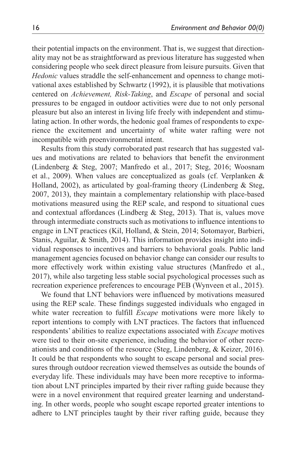their potential impacts on the environment. That is, we suggest that directionality may not be as straightforward as previous literature has suggested when considering people who seek direct pleasure from leisure pursuits. Given that *Hedonic* values straddle the self-enhancement and openness to change motivational axes established by Schwartz (1992), it is plausible that motivations centered on *Achievement, Risk-Taking*, and *Escape* of personal and social pressures to be engaged in outdoor activities were due to not only personal pleasure but also an interest in living life freely with independent and stimulating action. In other words, the hedonic goal frames of respondents to experience the excitement and uncertainty of white water rafting were not incompatible with proenvironmental intent.

Results from this study corroborated past research that has suggested values and motivations are related to behaviors that benefit the environment (Lindenberg & Steg, 2007; Manfredo et al., 2017; Steg, 2016; Woosnam et al., 2009). When values are conceptualized as goals (cf. Verplanken & Holland, 2002), as articulated by goal-framing theory (Lindenberg  $&$  Steg, 2007, 2013), they maintain a complementary relationship with place-based motivations measured using the REP scale, and respond to situational cues and contextual affordances (Lindberg  $&$  Steg, 2013). That is, values move through intermediate constructs such as motivations to influence intentions to engage in LNT practices (Kil, Holland, & Stein, 2014; Sotomayor, Barbieri, Stanis, Aguilar, & Smith, 2014). This information provides insight into individual responses to incentives and barriers to behavioral goals. Public land management agencies focused on behavior change can consider our results to more effectively work within existing value structures (Manfredo et al., 2017), while also targeting less stable social psychological processes such as recreation experience preferences to encourage PEB (Wynveen et al., 2015).

We found that LNT behaviors were influenced by motivations measured using the REP scale. These findings suggested individuals who engaged in white water recreation to fulfill *Escape* motivations were more likely to report intentions to comply with LNT practices. The factors that influenced respondents' abilities to realize expectations associated with *Escape* motives were tied to their on-site experience, including the behavior of other recreationists and conditions of the resource (Steg, Lindenberg, & Keizer, 2016). It could be that respondents who sought to escape personal and social pressures through outdoor recreation viewed themselves as outside the bounds of everyday life. These individuals may have been more receptive to information about LNT principles imparted by their river rafting guide because they were in a novel environment that required greater learning and understanding. In other words, people who sought escape reported greater intentions to adhere to LNT principles taught by their river rafting guide, because they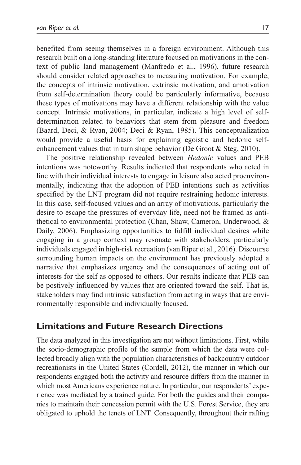benefited from seeing themselves in a foreign environment. Although this research built on a long-standing literature focused on motivations in the context of public land management (Manfredo et al., 1996), future research should consider related approaches to measuring motivation. For example, the concepts of intrinsic motivation, extrinsic motivation, and amotivation from self-determination theory could be particularly informative, because these types of motivations may have a different relationship with the value concept. Intrinsic motivations, in particular, indicate a high level of selfdetermination related to behaviors that stem from pleasure and freedom (Baard, Deci, & Ryan, 2004; Deci & Ryan, 1985). This conceptualization would provide a useful basis for explaining egoistic and hedonic selfenhancement values that in turn shape behavior (De Groot & Steg, 2010).

The positive relationship revealed between *Hedonic* values and PEB intentions was noteworthy. Results indicated that respondents who acted in line with their individual interests to engage in leisure also acted proenvironmentally, indicating that the adoption of PEB intentions such as activities specified by the LNT program did not require restraining hedonic interests. In this case, self-focused values and an array of motivations, particularly the desire to escape the pressures of everyday life, need not be framed as antithetical to environmental protection (Chan, Shaw, Cameron, Underwood, & Daily, 2006). Emphasizing opportunities to fulfill individual desires while engaging in a group context may resonate with stakeholders, particularly individuals engaged in high-risk recreation (van Riper et al., 2016). Discourse surrounding human impacts on the environment has previously adopted a narrative that emphasizes urgency and the consequences of acting out of interests for the self as opposed to others. Our results indicate that PEB can be postively influenced by values that are oriented toward the self. That is, stakeholders may find intrinsic satisfaction from acting in ways that are environmentally responsible and individually focused.

### **Limitations and Future Research Directions**

The data analyzed in this investigation are not without limitations. First, while the socio-demographic profile of the sample from which the data were collected broadly align with the population characteristics of backcountry outdoor recreationists in the United States (Cordell, 2012), the manner in which our respondents engaged both the activity and resource differs from the manner in which most Americans experience nature. In particular, our respondents' experience was mediated by a trained guide. For both the guides and their companies to maintain their concession permit with the U.S. Forest Service, they are obligated to uphold the tenets of LNT. Consequently, throughout their rafting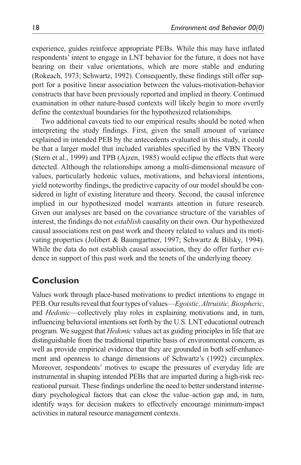experience, guides reinforce appropriate PEBs. While this may have inflated respondents' intent to engage in LNT behavior for the future, it does not have bearing on their value orientations, which are more stable and enduring (Rokeach, 1973; Schwartz, 1992). Consequently, these findings still offer support for a positive linear association between the values-motivation-behavior constructs that have been previously reported and implied in theory. Continued examination in other nature-based contexts will likely begin to more overtly define the contextual boundaries for the hypothesized relationships.

Two additional caveats tied to our empirical results should be noted when interpreting the study findings. First, given the small amount of variance explained in intended PEB by the antecedents evaluated in this study, it could be that a larger model that included variables specified by the VBN Theory (Stern et al., 1999) and TPB (Ajzen, 1985) would eclipse the effects that were detected. Although the relationships among a multi-dimensional measure of values, particularly hedonic values, motivations, and behavioral intentions, yield noteworthy findings, the predictive capacity of our model should be considered in light of existing literature and theory. Second, the causal inference implied in our hypothesized model warrants attention in future research. Given our analyses are based on the covariance structure of the variables of interest, the findings do not *establish* causality on their own. Our hypothesized causal associations rest on past work and theory related to values and its motivating properties (Jolibert & Baumgartner, 1997; Schwartz & Bilsky, 1994). While the data do not establish causal association, they do offer further evidence in support of this past work and the tenets of the underlying theory.

# **Conclusion**

Values work through place-based motivations to predict intentions to engage in PEB. Our results reveal that four types of values—*Egoistic, Altruistic, Biospheric*, and *Hedonic*—collectively play roles in explaining motivations and, in turn, influencing behavioral intentions set forth by the U.S. LNT educational outreach program. We suggest that *Hedonic* values act as guiding principles in life that are distinguishable from the traditional tripartite basis of environmental concern, as well as provide empirical evidence that they are grounded in both self-enhancement and openness to change dimensions of Schwartz's (1992) circumplex. Moreover, respondents' motives to escape the pressures of everyday life are instrumental in shaping intended PEBs that are imparted during a high-risk recreational pursuit. These findings underline the need to better understand intermediary psychological factors that can close the value–action gap and, in turn, identify ways for decision makers to effectively encourage minimum-impact activities in natural resource management contexts.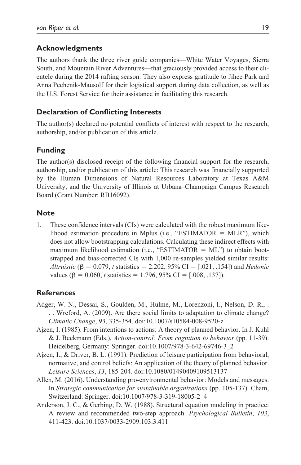### **Acknowledgments**

The authors thank the three river guide companies—White Water Voyages, Sierra South, and Mountain River Adventures—that graciously provided access to their clientele during the 2014 rafting season. They also express gratitude to Jihee Park and Anna Pechenik-Mausolf for their logistical support during data collection, as well as the U.S. Forest Service for their assistance in facilitating this research.

#### **Declaration of Conflicting Interests**

The author(s) declared no potential conflicts of interest with respect to the research, authorship, and/or publication of this article.

### **Funding**

The author(s) disclosed receipt of the following financial support for the research, authorship, and/or publication of this article: This research was financially supported by the Human Dimensions of Natural Resources Laboratory at Texas A&M University, and the University of Illinois at Urbana–Champaign Campus Research Board (Grant Number: RB16092).

#### **Note**

1. These confidence intervals (CIs) were calculated with the robust maximum likelihood estimation procedure in Mplus (i.e., "ESTIMATOR  $=$  MLR"), which does not allow bootstrapping calculations. Calculating these indirect effects with maximum likelihood estimation (i.e., "ESTIMATOR  $=$  ML") to obtain bootstrapped and bias-corrected CIs with 1,000 re-samples yielded similar results: *Altruistic* (β = 0.079, *t* statistics = 2.202, 95% CI = [.021, .154]) and *Hedonic* values (β = 0.060, *t* statistics = 1.796, 95% CI = [.008, .137]).

#### **References**

- Adger, W. N., Dessai, S., Goulden, M., Hulme, M., Lorenzoni, I., Nelson, D. R., . . . Wreford, A. (2009). Are there social limits to adaptation to climate change? *Climatic Change*, *93*, 335-354. doi:10.1007/s10584-008-9520-z
- Ajzen, I. (1985). From intentions to actions: A theory of planned behavior. In J. Kuhl & J. Beckmann (Eds.), *Action-control: From cognition to behavior* (pp. 11-39). Heidelberg, Germany: Springer. doi:10.1007/978-3-642-69746-3\_2
- Ajzen, I., & Driver, B. L. (1991). Prediction of leisure participation from behavioral, normative, and control beliefs: An application of the theory of planned behavior. *Leisure Sciences*, *13*, 185-204. doi:10.1080/01490409109513137
- Allen, M. (2016). Understanding pro-environmental behavior: Models and messages. In *Strategic communication for sustainable organizations* (pp. 105-137). Cham, Switzerland: Springer. doi:10.1007/978-3-319-18005-2\_4
- Anderson, J. C., & Gerbing, D. W. (1988). Structural equation modeling in practice: A review and recommended two-step approach. *Psychological Bulletin*, *103*, 411-423. doi:10.1037/0033-2909.103.3.411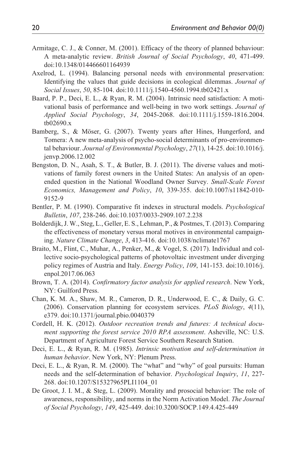- Armitage, C. J., & Conner, M. (2001). Efficacy of the theory of planned behaviour: A meta-analytic review. *British Journal of Social Psychology*, *40*, 471-499. doi:10.1348/014466601164939
- Axelrod, L. (1994). Balancing personal needs with environmental preservation: Identifying the values that guide decisions in ecological dilemmas. *Journal of Social Issues*, *50*, 85-104. doi:10.1111/j.1540-4560.1994.tb02421.x
- Baard, P. P., Deci, E. L., & Ryan, R. M. (2004). Intrinsic need satisfaction: A motivational basis of performance and well-being in two work settings. *Journal of Applied Social Psychology*, *34*, 2045-2068. doi:10.1111/j.1559-1816.2004. tb02690.x
- Bamberg, S., & Möser, G. (2007). Twenty years after Hines, Hungerford, and Tomera: A new meta-analysis of psycho-social determinants of pro-environmental behaviour. *Journal of Environmental Psychology*, *27*(1), 14-25. doi:10.1016/j. jenvp.2006.12.002
- Bengston, D. N., Asah, S. T., & Butler, B. J. (2011). The diverse values and motivations of family forest owners in the United States: An analysis of an openended question in the National Woodland Owner Survey. *Small-Scale Forest Economics, Management and Policy*, *10*, 339-355. doi:10.1007/s11842-010- 9152-9
- Bentler, P. M. (1990). Comparative fit indexes in structural models. *Psychological Bulletin*, *107*, 238-246. doi:10.1037/0033-2909.107.2.238
- Bolderdijk, J. W., Steg, L., Geller, E. S., Lehman, P., & Postmes, T. (2013). Comparing the effectiveness of monetary versus moral motives in environmental campaigning. *Nature Climate Change*, *3*, 413-416. doi:10.1038/nclimate1767
- Braito, M., Flint, C., Muhar, A., Penker, M., & Vogel, S. (2017). Individual and collective socio-psychological patterns of photovoltaic investment under diverging policy regimes of Austria and Italy. *Energy Policy*, *109*, 141-153. doi:10.1016/j. enpol.2017.06.063
- Brown, T. A. (2014). *Confirmatory factor analysis for applied research*. New York, NY: Guilford Press.
- Chan, K. M. A., Shaw, M. R., Cameron, D. R., Underwood, E. C., & Daily, G. C. (2006). Conservation planning for ecosystem services. *PLoS Biology*, *4*(11), e379. doi:10.1371/journal.pbio.0040379
- Cordell, H. K. (2012). *Outdoor recreation trends and futures: A technical document supporting the forest service 2010 RPA assessment*. Asheville, NC: U.S. Department of Agriculture Forest Service Southern Research Station.
- Deci, E. L., & Ryan, R. M. (1985). *Intrinsic motivation and self-determination in human behavior*. New York, NY: Plenum Press.
- Deci, E. L., & Ryan, R. M. (2000). The "what" and "why" of goal pursuits: Human needs and the self-determination of behavior. *Psychological Inquiry*, *11*, 227- 268. doi:10.1207/S15327965PLI1104\_01
- De Groot, J. I. M., & Steg, L. (2009). Morality and prosocial behavior: The role of awareness, responsibility, and norms in the Norm Activation Model. *The Journal of Social Psychology*, *149*, 425-449. doi:10.3200/SOCP.149.4.425-449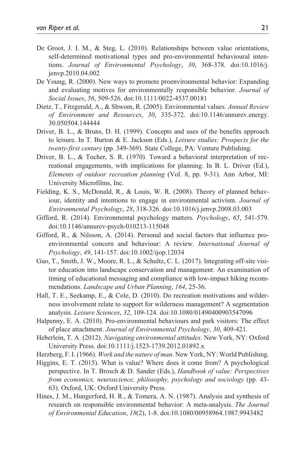- De Groot, J. I. M., & Steg, L. (2010). Relationships between value orientations, self-determined motivational types and pro-environmental behavioural intentions. *Journal of Environmental Psychology*, *30*, 368-378. doi:10.1016/j. jenvp.2010.04.002
- De Young, R. (2000). New ways to promote proenvironmental behavior: Expanding and evaluating motives for environmentally responsible behavior. *Journal of Social Issues*, *56*, 509-526. doi:10.1111/0022-4537.00181
- Dietz, T., Fitzgerald, A., & Shwom, R. (2005). Environmental values. *Annual Review of Environment and Resources*, *30*, 335-372. doi:10.1146/annurev.energy. 30.050504.144444
- Driver, B. L., & Bruns, D. H. (1999). Concepts and uses of the benefits approach to leisure. In T. Burton & E. Jackson (Eds.), *Leisure studies: Prospects for the twenty-first century* (pp. 349-369). State College, PA: Venture Publishing.
- Driver, B. L., & Tocher, S. R. (1970). Toward a behavioral interpretation of recreational engagements, with implications for planning. In B. L. Driver (Ed.), *Elements of outdoor recreation planning* (Vol. 8, pp. 9-31). Ann Arbor, MI: University Microfilms, Inc.
- Fielding, K. S., McDonald, R., & Louis, W. R. (2008). Theory of planned behaviour, identity and intentions to engage in environmental activism. *Journal of Environmental Psychology*, *28*, 318-326. doi:10.1016/j.jenvp.2008.03.003
- Gifford, R. (2014). Environmental psychology matters. *Psychology*, *65*, 541-579. doi:10.1146/annurev-psych-010213-115048
- Gifford, R., & Nilsson, A. (2014). Personal and social factors that influence proenvironmental concern and behaviour: A review. *International Journal of Psychology*, *49*, 141-157. doi:10.1002/ijop.12034
- Guo, T., Smith, J. W., Moore, R. L., & Schultz, C. L. (2017). Integrating off-site visitor education into landscape conservation and management: An examination of timing of educational messaging and compliance with low-impact hiking recommendations. *Landscape and Urban Planning*, *164*, 25-36.
- Hall, T. E., Seekamp, E., & Cole, D. (2010). Do recreation motivations and wilderness involvement relate to support for wilderness management? A segmentation analysis. *Leisure Sciences*, *32*, 109-124. doi:10.1080/01490400903547096
- Halpenny, E. A. (2010). Pro-environmental behaviours and park visitors: The effect of place attachment. *Journal of Environmental Psychology*, *30*, 409-421.
- Heberlein, T. A. (2012). *Navigating environmental attitudes*. New York, NY: Oxford University Press. doi:10.1111/j.1523-1739.2012.01892.x
- Herzberg, F. I. (1966). *Work and the nature of man*. New York, NY: World Publishing.
- Higgins, E. T. (2015). What is value? Where does it come from? A psychological perspective. In T. Brosch & D. Sander (Eds.), *Handbook of value: Perspectives from economics, neuroscience, philosophy, psychology and sociology* (pp. 43- 63). Oxford, UK: Oxford University Press.
- Hines, J. M., Hungerford, H. R., & Tomera, A. N. (1987). Analysis and synthesis of research on responsible environmental behavior: A meta-analysis. *The Journal of Environmental Education*, *18*(2), 1-8. doi:10.1080/00958964.1987.9943482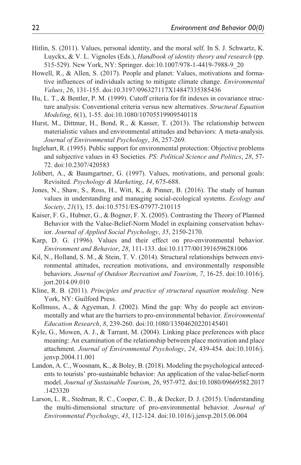- Hitlin, S. (2011). Values, personal identity, and the moral self. In S. J. Schwartz, K. Luyckx, & V. L. Vignoles (Eds.), *Handbook of identity theory and research* (pp. 515-529). New York, NY: Springer. doi:10.1007/978-1-4419-7988-9\_20
- Howell, R., & Allen, S. (2017). People and planet: Values, motivations and formative influences of individuals acting to mitigate climate change. *Environmental Values*, *26*, 131-155. doi:10.3197/096327117X14847335385436
- Hu, L. T., & Bentler, P. M. (1999). Cutoff criteria for fit indexes in covariance structure analysis: Conventional criteria versus new alternatives. *Structural Equation Modeling*, *6*(1), 1-55. doi:10.1080/10705519909540118
- Hurst, M., Dittmar, H., Bond, R., & Kasser, T. (2013). The relationship between materialistic values and environmental attitudes and behaviors: A meta-analysis. *Journal of Environmental Psychology*, *36*, 257-269.
- Inglehart, R. (1995). Public support for environmental protection: Objective problems and subjective values in 43 Societies. *PS: Political Science and Politics*, *28*, 57- 72. doi:10.2307/420583
- Jolibert, A., & Baumgartner, G. (1997). Values, motivations, and personal goals: Revisited. *Psychology & Marketing*, *14*, 675-688.
- Jones, N., Shaw, S., Ross, H., Witt, K., & Pinner, B. (2016). The study of human values in understanding and managing social-ecological systems. *Ecology and Society*, *21*(1), 15. doi:10.5751/ES-07977-210115
- Kaiser, F. G., Hubner, G., & Bogner, F. X. (2005). Contrasting the Theory of Planned Behavior with the Value-Belief-Norm Model in explaining conservation behavior. *Journal of Applied Social Psychology*, *35*, 2150-2170.
- Karp, D. G. (1996). Values and their effect on pro-environmental behavior. *Environment and Behavior*, *28*, 111-133. doi:10.1177/0013916596281006
- Kil, N., Holland, S. M., & Stein, T. V. (2014). Structural relationships between environmental attitudes, recreation motivations, and environmentally responsible behaviors. *Journal of Outdoor Recreation and Tourism*, *7*, 16-25. doi:10.1016/j. jort.2014.09.010
- Kline, R. B. (2011). *Principles and practice of structural equation modeling*. New York, NY: Guilford Press.
- Kollmuss, A., & Agyeman, J. (2002). Mind the gap: Why do people act environmentally and what are the barriers to pro-environmental behavior. *Environmental Education Research*, *8*, 239-260. doi:10.1080/13504620220145401
- Kyle, G., Mowen, A. J., & Tarrant, M. (2004). Linking place preferences with place meaning: An examination of the relationship between place motivation and place attachment. *Journal of Environmental Psychology*, *24*, 439-454. doi:10.1016/j. jenvp.2004.11.001
- Landon, A. C., Woosnam, K., & Boley, B. (2018). Modeling the psychological antecedents to tourists' pro-sustainable behavior: An application of the value-belief-norm model. *Journal of Sustainable Tourism*, *26*, 957-972. doi:10.1080/09669582.2017 .1423320
- Larson, L. R., Stedman, R. C., Cooper, C. B., & Decker, D. J. (2015). Understanding the multi-dimensional structure of pro-environmental behavior. *Journal of Environmental Psychology*, *43*, 112-124. doi:10.1016/j.jenvp.2015.06.004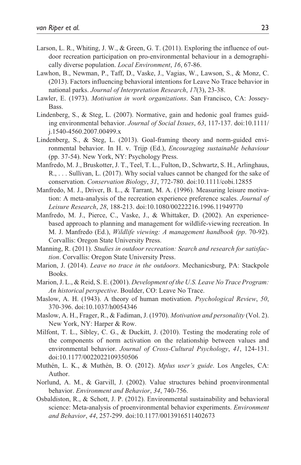- Larson, L. R., Whiting, J. W., & Green, G. T. (2011). Exploring the influence of outdoor recreation participation on pro-environmental behaviour in a demographically diverse population. *Local Environment*, *16*, 67-86.
- Lawhon, B., Newman, P., Taff, D., Vaske, J., Vagias, W., Lawson, S., & Monz, C. (2013). Factors influencing behavioral intentions for Leave No Trace behavior in national parks. *Journal of Interpretation Research*, *17*(3), 23-38.
- Lawler, E. (1973). *Motivation in work organizations*. San Francisco, CA: Jossey-Bass.
- Lindenberg, S., & Steg, L. (2007). Normative, gain and hedonic goal frames guiding environmental behavior. *Journal of Social Issues*, *63*, 117-137. doi:10.1111/ j.1540-4560.2007.00499.x
- Lindenberg, S., & Steg, L. (2013). Goal-framing theory and norm-guided environmental behavior. In H. v. Trijp (Ed.), *Encouraging sustainable behaviour* (pp. 37-54). New York, NY: Psychology Press.
- Manfredo, M. J., Bruskotter, J. T., Teel, T. L., Fulton, D., Schwartz, S. H., Arlinghaus, R., . . . Sullivan, L. (2017). Why social values cannot be changed for the sake of conservation. *Conservation Biology*, *31*, 772-780. doi:10.1111/cobi.12855
- Manfredo, M. J., Driver, B. L., & Tarrant, M. A. (1996). Measuring leisure motivation: A meta-analysis of the recreation experience preference scales. *Journal of Leisure Research*, *28*, 188-213. doi:10.1080/00222216.1996.11949770
- Manfredo, M. J., Pierce, C., Vaske, J., & Whittaker, D. (2002). An experiencebased approach to planning and management for wildlife-viewing recreation. In M. J. Manfredo (Ed.), *Wildlife viewing: A management handbook (pp*. 70-92). Corvallis: Oregon State University Press.
- Manning, R. (2011). *Studies in outdoor recreation: Search and research for satisfaction*. Corvallis: Oregon State University Press.
- Marion, J. (2014). *Leave no trace in the outdoors*. Mechanicsburg, PA: Stackpole Books.
- Marion, J. L., & Reid, S. E. (2001). *Development of the U.S. Leave No Trace Program: An historical perspective*. Boulder, CO: Leave No Trace.
- Maslow, A. H. (1943). A theory of human motivation. *Psychological Review*, *50*, 370-396. doi:10.1037/h0054346
- Maslow, A. H., Frager, R., & Fadiman, J. (1970). *Motivation and personality* (Vol. 2). New York, NY: Harper & Row.
- Milfont, T. L., Sibley, C. G., & Duckitt, J. (2010). Testing the moderating role of the components of norm activation on the relationship between values and environmental behavior. *Journal of Cross-Cultural Psychology*, *41*, 124-131. doi:10.1177/0022022109350506
- Muthén, L. K., & Muthén, B. O. (2012). *Mplus user's guide*. Los Angeles, CA: Author.
- Norlund, A. M., & Garvill, J. (2002). Value structures behind proenvironmental behavior. *Environment and Behavior*, *34*, 740-756.
- Osbaldiston, R., & Schott, J. P. (2012). Environmental sustainability and behavioral science: Meta-analysis of proenvironmental behavior experiments. *Environment and Behavior*, *44*, 257-299. doi:10.1177/0013916511402673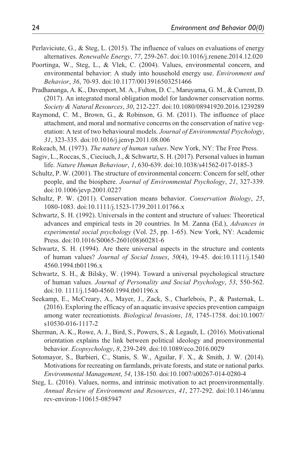- Perlaviciute, G., & Steg, L. (2015). The influence of values on evaluations of energy alternatives. *Renewable Energy*, *77*, 259-267. doi:10.1016/j.renene.2014.12.020
- Poortinga, W., Steg, L., & Vlek, C. (2004). Values, environmental concern, and environmental behavior: A study into household energy use. *Environment and Behavior*, *36*, 70-93. doi:10.1177/0013916503251466
- Pradhananga, A. K., Davenport, M. A., Fulton, D. C., Maruyama, G. M., & Current, D. (2017). An integrated moral obligation model for landowner conservation norms. *Society & Natural Resources*, *30*, 212-227. doi:10.1080/08941920.2016.1239289
- Raymond, C. M., Brown, G., & Robinson, G. M. (2011). The influence of place attachment, and moral and normative concerns on the conservation of native vegetation: A test of two behavioural models. *Journal of Environmental Psychology*, *31*, 323-335. doi:10.1016/j.jenvp.2011.08.006
- Rokeach, M. (1973). *The nature of human values*. New York, NY: The Free Press.
- Sagiv, L., Roccas, S., Cieciuch, J., & Schwartz, S. H. (2017). Personal values in human life. *Nature Human Behaviour*, *1*, 630-639. doi:10.1038/s41562-017-0185-3
- Schultz, P. W. (2001). The structure of environmental concern: Concern for self, other people, and the biosphere. *Journal of Environmental Psychology*, *21*, 327-339. doi:10.1006/jevp.2001.0227
- Schultz, P. W. (2011). Conservation means behavior. *Conservation Biology*, *25*, 1080-1083. doi:10.1111/j.1523-1739.2011.01766.x
- Schwartz, S. H. (1992). Universals in the content and structure of values: Theoretical advances and empirical tests in 20 countries. In M. Zanna (Ed.), *Advances in experimental social psychology* (Vol. 25, pp. 1-65). New York, NY: Academic Press. doi:10.1016/S0065-2601(08)60281-6
- Schwartz, S. H. (1994). Are there universal aspects in the structure and contents of human values? *Journal of Social Issues*, *50*(4), 19-45. doi:10.1111/j.1540 4560.1994.tb01196.x
- Schwartz, S. H., & Bilsky, W. (1994). Toward a universal psychological structure of human values. *Journal of Personality and Social Psychology*, *53*, 550-562. doi:10. 1111/j.1540-4560.1994.tb01196.x
- Seekamp, E., McCreary, A., Mayer, J., Zack, S., Charlebois, P., & Pasternak, L. (2016). Exploring the efficacy of an aquatic invasive species prevention campaign among water recreationists. *Biological Invasions*, *18*, 1745-1758. doi:10.1007/ s10530-016-1117-2
- Sherman, A. K., Rowe, A. J., Bird, S., Powers, S., & Legault, L. (2016). Motivational orientation explains the link between political ideology and proenvironmental behavior. *Ecopsychology*, *8*, 239-249. doi:10.1089/eco.2016.0029
- Sotomayor, S., Barbieri, C., Stanis, S. W., Aguilar, F. X., & Smith, J. W. (2014). Motivations for recreating on farmlands, private forests, and state or national parks. *Environmental Management*, *54*, 138-150. doi:10.1007/s00267-014-0280-4
- Steg, L. (2016). Values, norms, and intrinsic motivation to act proenvironmentally. *Annual Review of Environment and Resources*, *41*, 277-292. doi:10.1146/annu rev-environ-110615-085947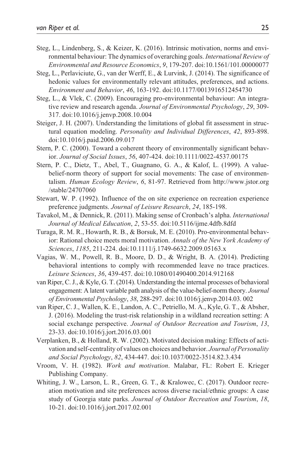- Steg, L., Lindenberg, S., & Keizer, K. (2016). Intrinsic motivation, norms and environmental behaviour: The dynamics of overarching goals. *International Review of Environmental and Resource Economics*, *9*, 179-207. doi:10.1561/101.00000077
- Steg, L., Perlaviciute, G., van der Werff, E., & Lurvink, J. (2014). The significance of hedonic values for environmentally relevant attitudes, preferences, and actions. *Environment and Behavior*, *46*, 163-192. doi:10.1177/0013916512454730
- Steg, L., & Vlek, C. (2009). Encouraging pro-environmental behaviour: An integrative review and research agenda. *Journal of Environmental Psychology*, *29*, 309- 317. doi:10.1016/j.jenvp.2008.10.004
- Steiger, J. H. (2007). Understanding the limitations of global fit assessment in structural equation modeling. *Personality and Individual Differences*, *42*, 893-898. doi:10.1016/j.paid.2006.09.017
- Stern, P. C. (2000). Toward a coherent theory of environmentally significant behavior. *Journal of Social Issues*, *56*, 407-424. doi:10.1111/0022-4537.00175
- Stern, P. C., Dietz, T., Abel, T., Guagnano, G. A., & Kalof, L. (1999). A valuebelief-norm theory of support for social movements: The case of environmentalism. *Human Ecology Review*, *6*, 81-97. Retrieved from [http://www.jstor.org](http://www.jstor.org/stable/24707060) [/stable/24707060](http://www.jstor.org/stable/24707060)
- Stewart, W. P. (1992). Influence of the on site experience on recreation experience preference judgments. *Journal of Leisure Research*, *24*, 185-198.
- Tavakol, M., & Dennick, R. (2011). Making sense of Cronbach's alpha. *International Journal of Medical Education*, *2*, 53-55. doi:10.5116/ijme.4dfb.8dfd
- Turaga, R. M. R., Howarth, R. B., & Borsuk, M. E. (2010). Pro-environmental behavior: Rational choice meets moral motivation. *Annals of the New York Academy of Sciences*, *1185*, 211-224. doi:10.1111/j.1749-6632.2009.05163.x
- Vagias, W. M., Powell, R. B., Moore, D. D., & Wright, B. A. (2014). Predicting behavioral intentions to comply with recommended leave no trace practices. *Leisure Sciences*, *36*, 439-457. doi:10.1080/01490400.2014.912168
- van Riper, C. J., & Kyle, G. T. (2014). Understanding the internal processes of behavioral engagement: A latent variable path analysis of the value-belief-norm theory. *Journal of Environmental Psychology*, *38*, 288-297. doi:10.1016/j.jenvp.2014.03. 002
- van Riper, C. J., Wallen, K. E., Landon, A. C., Petriello, M. A., Kyle, G. T., & Absher, J. (2016). Modeling the trust-risk relationship in a wildland recreation setting: A social exchange perspective. *Journal of Outdoor Recreation and Tourism*, *13*, 23-33. doi:10.1016/j.jort.2016.03.001
- Verplanken, B., & Holland, R. W. (2002). Motivated decision making: Effects of activation and self-centrality of values on choices and behavior. *Journal of Personality and Social Psychology*, *82*, 434-447. doi:10.1037/0022-3514.82.3.434
- Vroom, V. H. (1982). *Work and motivation*. Malabar, FL: Robert E. Krieger Publishing Company.
- Whiting, J. W., Larson, L. R., Green, G. T., & Kralowec, C. (2017). Outdoor recreation motivation and site preferences across diverse racial/ethnic groups: A case study of Georgia state parks. *Journal of Outdoor Recreation and Tourism*, *18*, 10-21. doi:10.1016/j.jort.2017.02.001